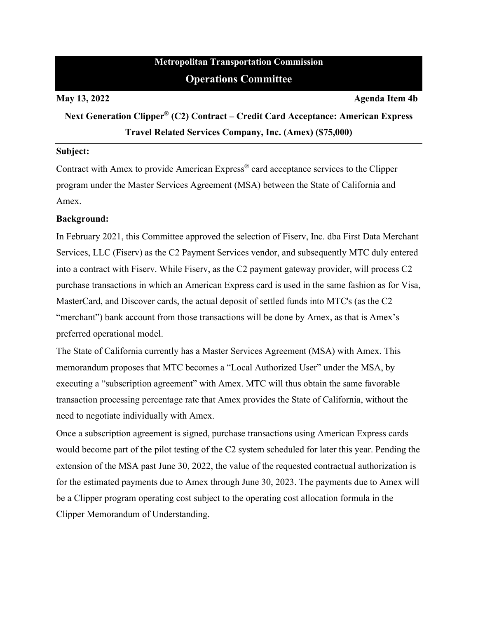# **Metropolitan Transportation Commission Operations Committee**

**May 13, 2022 Agenda Item 4b** 

**Next Generation Clipper® (C2) Contract – Credit Card Acceptance: American Express Travel Related Services Company, Inc. (Amex) (\$75,000)** 

#### **Subject:**

Contract with Amex to provide American Express® card acceptance services to the Clipper program under the Master Services Agreement (MSA) between the State of California and Amex.

# **Background:**

In February 2021, this Committee approved the selection of Fiserv, Inc. dba First Data Merchant Services, LLC (Fiserv) as the C2 Payment Services vendor, and subsequently MTC duly entered into a contract with Fiserv. While Fiserv, as the C2 payment gateway provider, will process C2 purchase transactions in which an American Express card is used in the same fashion as for Visa, MasterCard, and Discover cards, the actual deposit of settled funds into MTC's (as the C2 "merchant") bank account from those transactions will be done by Amex, as that is Amex's preferred operational model.

The State of California currently has a Master Services Agreement (MSA) with Amex. This memorandum proposes that MTC becomes a "Local Authorized User" under the MSA, by executing a "subscription agreement" with Amex. MTC will thus obtain the same favorable transaction processing percentage rate that Amex provides the State of California, without the need to negotiate individually with Amex.

Once a subscription agreement is signed, purchase transactions using American Express cards would become part of the pilot testing of the C2 system scheduled for later this year. Pending the extension of the MSA past June 30, 2022, the value of the requested contractual authorization is for the estimated payments due to Amex through June 30, 2023. The payments due to Amex will be a Clipper program operating cost subject to the operating cost allocation formula in the Clipper Memorandum of Understanding.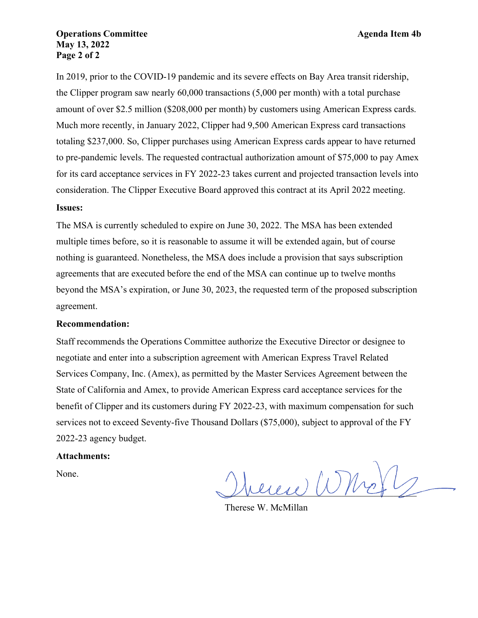# **Operations Committee Agenda Item 4b May 13, 2022 Page 2 of 2**

In 2019, prior to the COVID-19 pandemic and its severe effects on Bay Area transit ridership, the Clipper program saw nearly 60,000 transactions (5,000 per month) with a total purchase amount of over \$2.5 million (\$208,000 per month) by customers using American Express cards. Much more recently, in January 2022, Clipper had 9,500 American Express card transactions totaling \$237,000. So, Clipper purchases using American Express cards appear to have returned to pre-pandemic levels. The requested contractual authorization amount of \$75,000 to pay Amex for its card acceptance services in FY 2022-23 takes current and projected transaction levels into consideration. The Clipper Executive Board approved this contract at its April 2022 meeting.

### **Issues:**

The MSA is currently scheduled to expire on June 30, 2022. The MSA has been extended multiple times before, so it is reasonable to assume it will be extended again, but of course nothing is guaranteed. Nonetheless, the MSA does include a provision that says subscription agreements that are executed before the end of the MSA can continue up to twelve months beyond the MSA's expiration, or June 30, 2023, the requested term of the proposed subscription agreement.

#### **Recommendation:**

Staff recommends the Operations Committee authorize the Executive Director or designee to negotiate and enter into a subscription agreement with American Express Travel Related Services Company, Inc. (Amex), as permitted by the Master Services Agreement between the State of California and Amex, to provide American Express card acceptance services for the benefit of Clipper and its customers during FY 2022-23, with maximum compensation for such services not to exceed Seventy-five Thousand Dollars (\$75,000), subject to approval of the FY 2022-23 agency budget.

#### **Attachments:**

None.

 $u(u)$  (UMe)

Therese W. McMillan